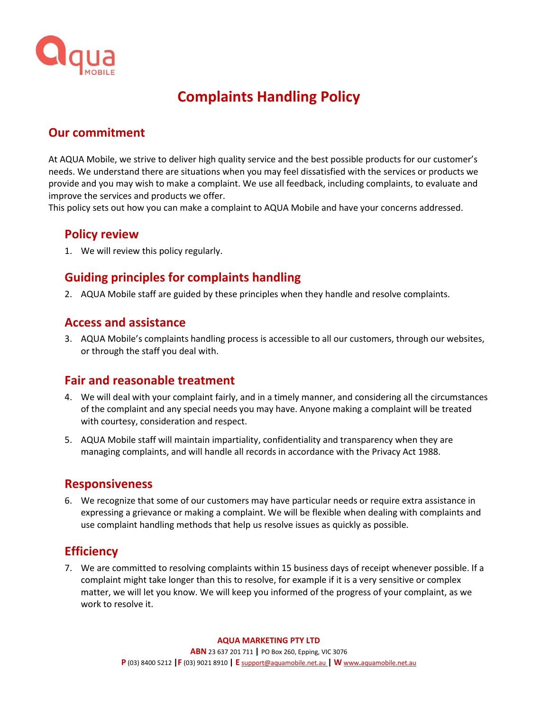

# **Complaints Handling Policy**

# **Our commitment**

At AQUA Mobile, we strive to deliver high quality service and the best possible products for our customer's needs. We understand there are situations when you may feel dissatisfied with the services or products we provide and you may wish to make a complaint. We use all feedback, including complaints, to evaluate and improve the services and products we offer.

This policy sets out how you can make a complaint to AQUA Mobile and have your concerns addressed.

### **Policy review**

1. We will review this policy regularly.

# **Guiding principles for complaints handling**

2. AQUA Mobile staff are guided by these principles when they handle and resolve complaints.

### **Access and assistance**

3. AQUA Mobile's complaints handling process is accessible to all our customers, through our websites, or through the staff you deal with.

### **Fair and reasonable treatment**

- 4. We will deal with your complaint fairly, and in a timely manner, and considering all the circumstances of the complaint and any special needs you may have. Anyone making a complaint will be treated with courtesy, consideration and respect.
- 5. AQUA Mobile staff will maintain impartiality, confidentiality and transparency when they are managing complaints, and will handle all records in accordance with the Privacy Act 1988.

#### **Responsiveness**

6. We recognize that some of our customers may have particular needs or require extra assistance in expressing a grievance or making a complaint. We will be flexible when dealing with complaints and use complaint handling methods that help us resolve issues as quickly as possible.

### **Efficiency**

7. We are committed to resolving complaints within 15 business days of receipt whenever possible. If a complaint might take longer than this to resolve, for example if it is a very sensitive or complex matter, we will let you know. We will keep you informed of the progress of your complaint, as we work to resolve it.

#### **AQUA MARKETING PTY LTD**